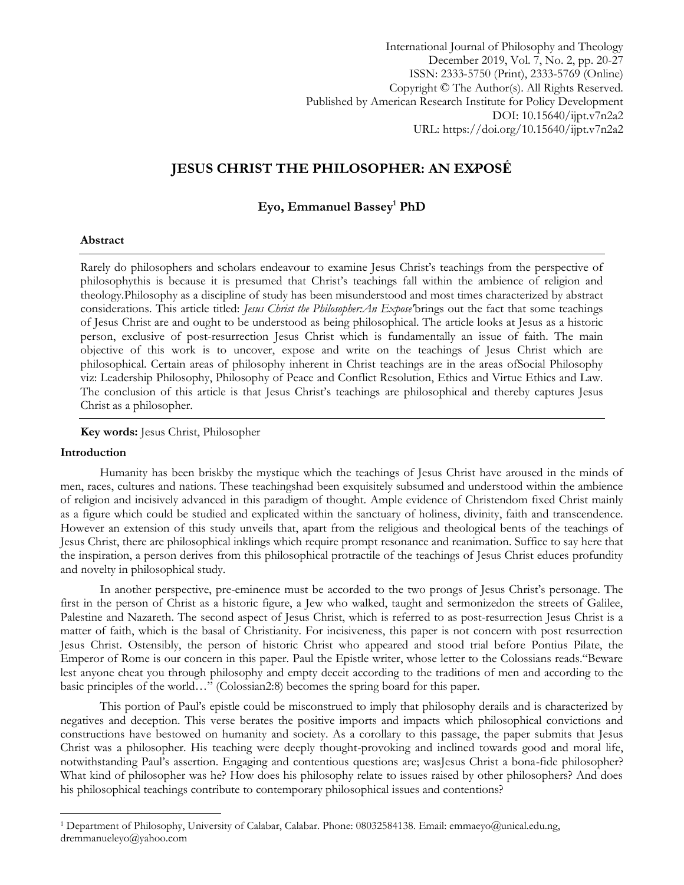International Journal of Philosophy and Theology December 2019, Vol. 7, No. 2, pp. 20-27 ISSN: 2333-5750 (Print), 2333-5769 (Online) Copyright © The Author(s). All Rights Reserved. Published by American Research Institute for Policy Development DOI: 10.15640/ijpt.v7n2a2 URL: https://doi.org/10.15640/ijpt.v7n2a2

# **JESUS CHRIST THE PHILOSOPHER: AN EXPOSÉ**

# **Eyo, Emmanuel Bassey<sup>1</sup> PhD**

### **Abstract**

Rarely do philosophers and scholars endeavour to examine Jesus Christ"s teachings from the perspective of philosophythis is because it is presumed that Christ"s teachings fall within the ambience of religion and theology.Philosophy as a discipline of study has been misunderstood and most times characterized by abstract considerations. This article titled: *Jesus Christ the Philosopher:An Expose'*brings out the fact that some teachings of Jesus Christ are and ought to be understood as being philosophical. The article looks at Jesus as a historic person, exclusive of post-resurrection Jesus Christ which is fundamentally an issue of faith. The main objective of this work is to uncover, expose and write on the teachings of Jesus Christ which are philosophical. Certain areas of philosophy inherent in Christ teachings are in the areas ofSocial Philosophy viz: Leadership Philosophy, Philosophy of Peace and Conflict Resolution, Ethics and Virtue Ethics and Law. The conclusion of this article is that Jesus Christ"s teachings are philosophical and thereby captures Jesus Christ as a philosopher.

#### **Key words:** Jesus Christ, Philosopher

#### **Introduction**

 $\overline{a}$ 

Humanity has been briskby the mystique which the teachings of Jesus Christ have aroused in the minds of men, races, cultures and nations. These teachingshad been exquisitely subsumed and understood within the ambience of religion and incisively advanced in this paradigm of thought. Ample evidence of Christendom fixed Christ mainly as a figure which could be studied and explicated within the sanctuary of holiness, divinity, faith and transcendence. However an extension of this study unveils that, apart from the religious and theological bents of the teachings of Jesus Christ, there are philosophical inklings which require prompt resonance and reanimation. Suffice to say here that the inspiration, a person derives from this philosophical protractile of the teachings of Jesus Christ educes profundity and novelty in philosophical study.

In another perspective, pre-eminence must be accorded to the two prongs of Jesus Christ's personage. The first in the person of Christ as a historic figure, a Jew who walked, taught and sermonizedon the streets of Galilee, Palestine and Nazareth. The second aspect of Jesus Christ, which is referred to as post-resurrection Jesus Christ is a matter of faith, which is the basal of Christianity. For incisiveness, this paper is not concern with post resurrection Jesus Christ. Ostensibly, the person of historic Christ who appeared and stood trial before Pontius Pilate, the Emperor of Rome is our concern in this paper. Paul the Epistle writer, whose letter to the Colossians reads."Beware lest anyone cheat you through philosophy and empty deceit according to the traditions of men and according to the basic principles of the world…" (Colossian2:8) becomes the spring board for this paper.

This portion of Paul"s epistle could be misconstrued to imply that philosophy derails and is characterized by negatives and deception. This verse berates the positive imports and impacts which philosophical convictions and constructions have bestowed on humanity and society. As a corollary to this passage, the paper submits that Jesus Christ was a philosopher. His teaching were deeply thought-provoking and inclined towards good and moral life, notwithstanding Paul"s assertion. Engaging and contentious questions are; wasJesus Christ a bona-fide philosopher? What kind of philosopher was he? How does his philosophy relate to issues raised by other philosophers? And does his philosophical teachings contribute to contemporary philosophical issues and contentions?

<sup>1</sup> Department of Philosophy, University of Calabar, Calabar. Phone: 08032584138. Email: emmaeyo@unical.edu.ng, dremmanueleyo@yahoo.com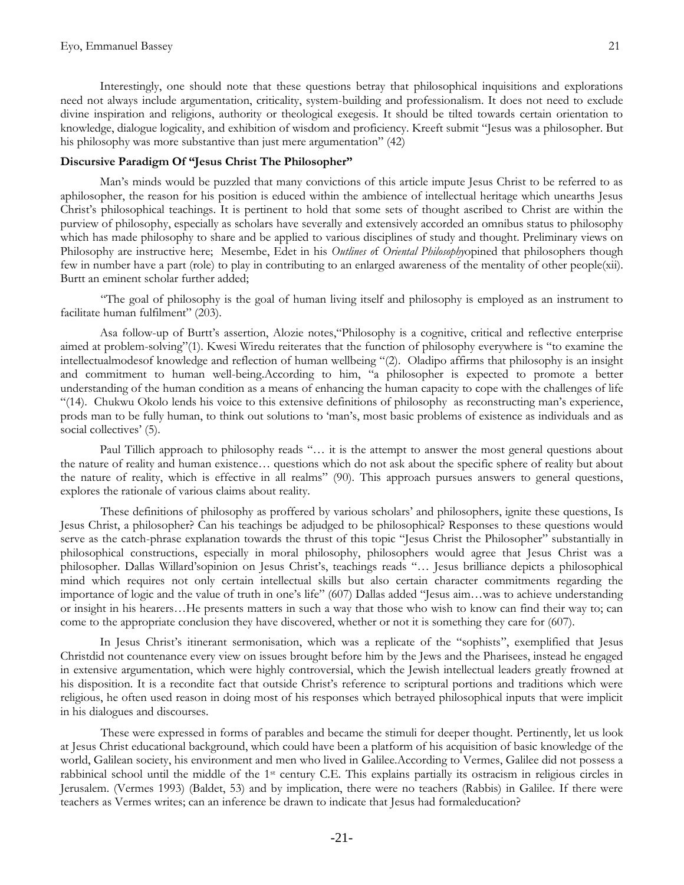Interestingly, one should note that these questions betray that philosophical inquisitions and explorations need not always include argumentation, criticality, system-building and professionalism. It does not need to exclude divine inspiration and religions, authority or theological exegesis. It should be tilted towards certain orientation to knowledge, dialogue logicality, and exhibition of wisdom and proficiency. Kreeft submit "Jesus was a philosopher. But his philosophy was more substantive than just mere argumentation" (42)

## **Discursive Paradigm Of "Jesus Christ The Philosopher"**

Man"s minds would be puzzled that many convictions of this article impute Jesus Christ to be referred to as aphilosopher, the reason for his position is educed within the ambience of intellectual heritage which unearths Jesus Christ"s philosophical teachings. It is pertinent to hold that some sets of thought ascribed to Christ are within the purview of philosophy, especially as scholars have severally and extensively accorded an omnibus status to philosophy which has made philosophy to share and be applied to various disciplines of study and thought. Preliminary views on Philosophy are instructive here; Mesembe, Edet in his *Outlines o*f *Oriental Philosophy*opined that philosophers though few in number have a part (role) to play in contributing to an enlarged awareness of the mentality of other people(xii). Burtt an eminent scholar further added;

"The goal of philosophy is the goal of human living itself and philosophy is employed as an instrument to facilitate human fulfilment" (203).

Asa follow-up of Burtt's assertion, Alozie notes, "Philosophy is a cognitive, critical and reflective enterprise aimed at problem-solving"(1). Kwesi Wiredu reiterates that the function of philosophy everywhere is "to examine the intellectualmodesof knowledge and reflection of human wellbeing "(2). Oladipo affirms that philosophy is an insight and commitment to human well-being.According to him, "a philosopher is expected to promote a better understanding of the human condition as a means of enhancing the human capacity to cope with the challenges of life "(14). Chukwu Okolo lends his voice to this extensive definitions of philosophy as reconstructing man"s experience, prods man to be fully human, to think out solutions to "man"s, most basic problems of existence as individuals and as social collectives' (5).

Paul Tillich approach to philosophy reads "... it is the attempt to answer the most general questions about the nature of reality and human existence… questions which do not ask about the specific sphere of reality but about the nature of reality, which is effective in all realms" (90). This approach pursues answers to general questions, explores the rationale of various claims about reality.

These definitions of philosophy as proffered by various scholars" and philosophers, ignite these questions, Is Jesus Christ, a philosopher? Can his teachings be adjudged to be philosophical? Responses to these questions would serve as the catch-phrase explanation towards the thrust of this topic "Jesus Christ the Philosopher" substantially in philosophical constructions, especially in moral philosophy, philosophers would agree that Jesus Christ was a philosopher. Dallas Willard"sopinion on Jesus Christ"s, teachings reads "… Jesus brilliance depicts a philosophical mind which requires not only certain intellectual skills but also certain character commitments regarding the importance of logic and the value of truth in one's life" (607) Dallas added "Jesus aim...was to achieve understanding or insight in his hearers…He presents matters in such a way that those who wish to know can find their way to; can come to the appropriate conclusion they have discovered, whether or not it is something they care for (607).

In Jesus Christ's itinerant sermonisation, which was a replicate of the "sophists", exemplified that Jesus Christdid not countenance every view on issues brought before him by the Jews and the Pharisees, instead he engaged in extensive argumentation, which were highly controversial, which the Jewish intellectual leaders greatly frowned at his disposition. It is a recondite fact that outside Christ's reference to scriptural portions and traditions which were religious, he often used reason in doing most of his responses which betrayed philosophical inputs that were implicit in his dialogues and discourses.

These were expressed in forms of parables and became the stimuli for deeper thought. Pertinently, let us look at Jesus Christ educational background, which could have been a platform of his acquisition of basic knowledge of the world, Galilean society, his environment and men who lived in Galilee.According to Vermes, Galilee did not possess a rabbinical school until the middle of the 1st century C.E. This explains partially its ostracism in religious circles in Jerusalem. (Vermes 1993) (Baldet, 53) and by implication, there were no teachers (Rabbis) in Galilee. If there were teachers as Vermes writes; can an inference be drawn to indicate that Jesus had formaleducation?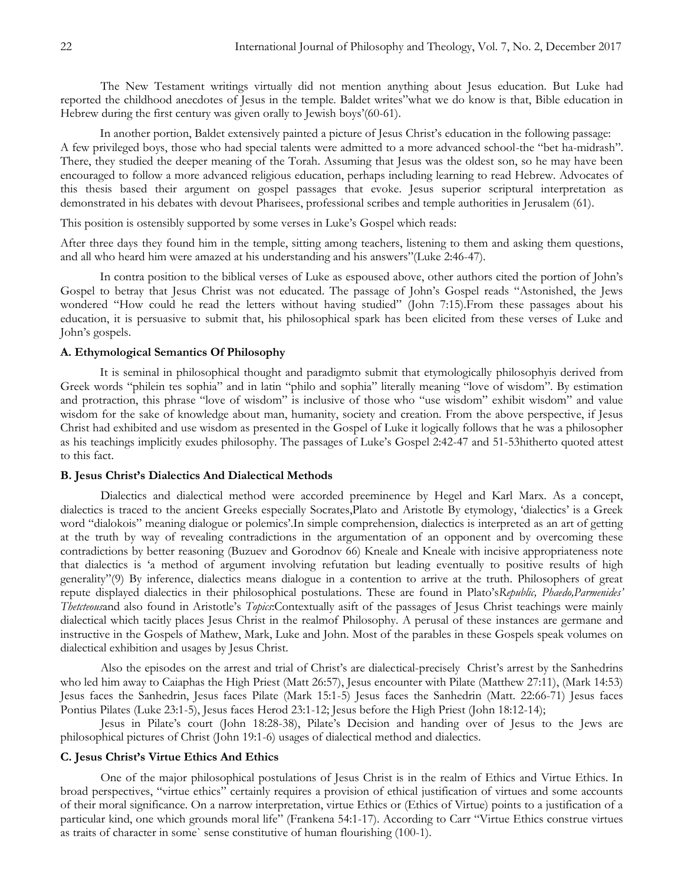The New Testament writings virtually did not mention anything about Jesus education. But Luke had reported the childhood anecdotes of Jesus in the temple. Baldet writes"what we do know is that, Bible education in Hebrew during the first century was given orally to Jewish boys'(60-61).

In another portion, Baldet extensively painted a picture of Jesus Christ"s education in the following passage: A few privileged boys, those who had special talents were admitted to a more advanced school-the "bet ha-midrash". There, they studied the deeper meaning of the Torah. Assuming that Jesus was the oldest son, so he may have been encouraged to follow a more advanced religious education, perhaps including learning to read Hebrew. Advocates of this thesis based their argument on gospel passages that evoke. Jesus superior scriptural interpretation as demonstrated in his debates with devout Pharisees, professional scribes and temple authorities in Jerusalem (61).

This position is ostensibly supported by some verses in Luke"s Gospel which reads:

After three days they found him in the temple, sitting among teachers, listening to them and asking them questions, and all who heard him were amazed at his understanding and his answers"(Luke 2:46-47).

In contra position to the biblical verses of Luke as espoused above, other authors cited the portion of John"s Gospel to betray that Jesus Christ was not educated. The passage of John"s Gospel reads "Astonished, the Jews wondered "How could he read the letters without having studied" (John 7:15).From these passages about his education, it is persuasive to submit that, his philosophical spark has been elicited from these verses of Luke and John"s gospels.

### **A. Ethymological Semantics Of Philosophy**

It is seminal in philosophical thought and paradigmto submit that etymologically philosophyis derived from Greek words "philein tes sophia" and in latin "philo and sophia" literally meaning "love of wisdom". By estimation and protraction, this phrase "love of wisdom" is inclusive of those who "use wisdom" exhibit wisdom" and value wisdom for the sake of knowledge about man, humanity, society and creation. From the above perspective, if Jesus Christ had exhibited and use wisdom as presented in the Gospel of Luke it logically follows that he was a philosopher as his teachings implicitly exudes philosophy. The passages of Luke"s Gospel 2:42-47 and 51-53hitherto quoted attest to this fact.

### **B. Jesus Christ's Dialectics And Dialectical Methods**

Dialectics and dialectical method were accorded preeminence by Hegel and Karl Marx. As a concept, dialectics is traced to the ancient Greeks especially Socrates,Plato and Aristotle By etymology, "dialectics" is a Greek word "dialokois" meaning dialogue or polemics".In simple comprehension, dialectics is interpreted as an art of getting at the truth by way of revealing contradictions in the argumentation of an opponent and by overcoming these contradictions by better reasoning (Buzuev and Gorodnov 66) Kneale and Kneale with incisive appropriateness note that dialectics is "a method of argument involving refutation but leading eventually to positive results of high generality"(9) By inference, dialectics means dialogue in a contention to arrive at the truth. Philosophers of great repute displayed dialectics in their philosophical postulations. These are found in Plato"s*Republic, Phaedo,Parmenides' Thetcteous*and also found in Aristotle"s *Topics*:Contextually asift of the passages of Jesus Christ teachings were mainly dialectical which tacitly places Jesus Christ in the realmof Philosophy. A perusal of these instances are germane and instructive in the Gospels of Mathew, Mark, Luke and John. Most of the parables in these Gospels speak volumes on dialectical exhibition and usages by Jesus Christ.

Also the episodes on the arrest and trial of Christ's are dialectical-precisely Christ's arrest by the Sanhedrins who led him away to Caiaphas the High Priest (Matt 26:57), Jesus encounter with Pilate (Matthew 27:11), (Mark 14:53) Jesus faces the Sanhedrin, Jesus faces Pilate (Mark 15:1-5) Jesus faces the Sanhedrin (Matt. 22:66-71) Jesus faces Pontius Pilates (Luke 23:1-5), Jesus faces Herod 23:1-12; Jesus before the High Priest (John 18:12-14);

Jesus in Pilate"s court (John 18:28-38), Pilate"s Decision and handing over of Jesus to the Jews are philosophical pictures of Christ (John 19:1-6) usages of dialectical method and dialectics.

### **C. Jesus Christ's Virtue Ethics And Ethics**

One of the major philosophical postulations of Jesus Christ is in the realm of Ethics and Virtue Ethics. In broad perspectives, "virtue ethics" certainly requires a provision of ethical justification of virtues and some accounts of their moral significance. On a narrow interpretation, virtue Ethics or (Ethics of Virtue) points to a justification of a particular kind, one which grounds moral life" (Frankena 54:1-17). According to Carr "Virtue Ethics construe virtues as traits of character in some` sense constitutive of human flourishing (100-1).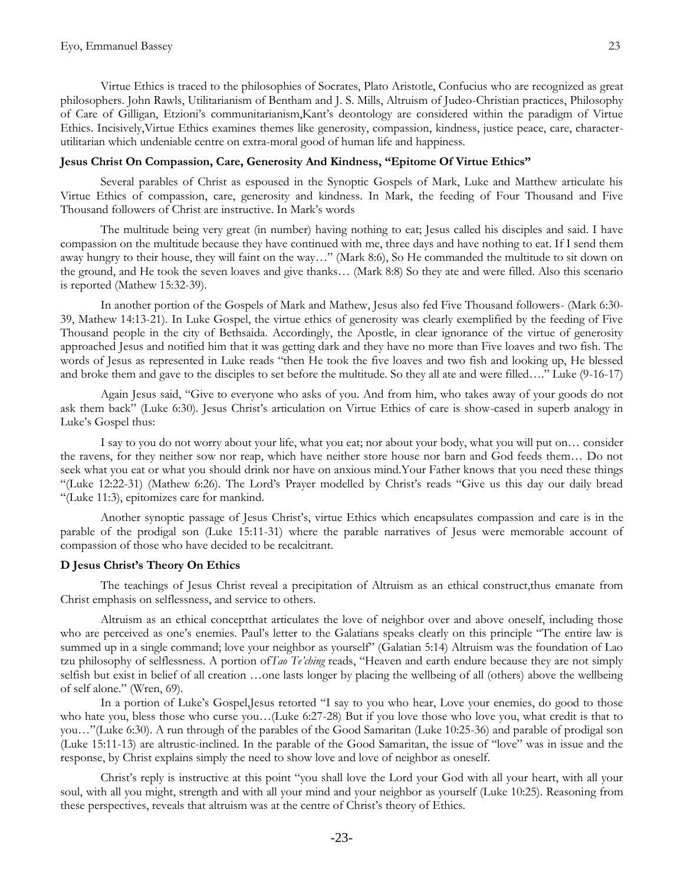Virtue Ethics is traced to the philosophies of Socrates, Plato Aristotle, Confucius who are recognized as great philosophers. John Rawls, Utilitarianism of Bentham and J. S. Mills, Altruism of Judeo-Christian practices, Philosophy of Care of Gilligan, Etzioni"s communitarianism,Kant"s deontology are considered within the paradigm of Virtue Ethics. Incisively,Virtue Ethics examines themes like generosity, compassion, kindness, justice peace, care, characterutilitarian which undeniable centre on extra-moral good of human life and happiness.

### **Jesus Christ On Compassion, Care, Generosity And Kindness, "Epitome Of Virtue Ethics"**

Several parables of Christ as espoused in the Synoptic Gospels of Mark, Luke and Matthew articulate his Virtue Ethics of compassion, care, generosity and kindness. In Mark, the feeding of Four Thousand and Five Thousand followers of Christ are instructive. In Mark"s words

The multitude being very great (in number) having nothing to eat; Jesus called his disciples and said. I have compassion on the multitude because they have continued with me, three days and have nothing to eat. If I send them away hungry to their house, they will faint on the way…" (Mark 8:6), So He commanded the multitude to sit down on the ground, and He took the seven loaves and give thanks… (Mark 8:8) So they ate and were filled. Also this scenario is reported (Mathew 15:32-39).

In another portion of the Gospels of Mark and Mathew, Jesus also fed Five Thousand followers- (Mark 6:30- 39, Mathew 14:13-21). In Luke Gospel, the virtue ethics of generosity was clearly exemplified by the feeding of Five Thousand people in the city of Bethsaida. Accordingly, the Apostle, in clear ignorance of the virtue of generosity approached Jesus and notified him that it was getting dark and they have no more than Five loaves and two fish. The words of Jesus as represented in Luke reads "then He took the five loaves and two fish and looking up, He blessed and broke them and gave to the disciples to set before the multitude. So they all ate and were filled…." Luke (9-16-17)

Again Jesus said, "Give to everyone who asks of you. And from him, who takes away of your goods do not ask them back" (Luke 6:30). Jesus Christ's articulation on Virtue Ethics of care is show-cased in superb analogy in Luke"s Gospel thus:

I say to you do not worry about your life, what you eat; nor about your body, what you will put on… consider the ravens, for they neither sow nor reap, which have neither store house nor barn and God feeds them… Do not seek what you eat or what you should drink nor have on anxious mind.Your Father knows that you need these things "(Luke 12:22-31) (Mathew 6:26). The Lord"s Prayer modelled by Christ"s reads "Give us this day our daily bread "(Luke 11:3), epitomizes care for mankind.

Another synoptic passage of Jesus Christ"s, virtue Ethics which encapsulates compassion and care is in the parable of the prodigal son (Luke 15:11-31) where the parable narratives of Jesus were memorable account of compassion of those who have decided to be recalcitrant.

# **D Jesus Christ's Theory On Ethics**

The teachings of Jesus Christ reveal a precipitation of Altruism as an ethical construct,thus emanate from Christ emphasis on selflessness, and service to others.

Altruism as an ethical conceptthat articulates the love of neighbor over and above oneself, including those who are perceived as one's enemies. Paul's letter to the Galatians speaks clearly on this principle "The entire law is summed up in a single command; love your neighbor as yourself" (Galatian 5:14) Altruism was the foundation of Lao tzu philosophy of selflessness. A portion of*Tao Te'ching* reads, "Heaven and earth endure because they are not simply selfish but exist in belief of all creation …one lasts longer by placing the wellbeing of all (others) above the wellbeing of self alone." (Wren, 69).

In a portion of Luke"s Gospel,Jesus retorted "I say to you who hear, Love your enemies, do good to those who hate you, bless those who curse you…(Luke 6:27-28) But if you love those who love you, what credit is that to you…"(Luke 6:30). A run through of the parables of the Good Samaritan (Luke 10:25-36) and parable of prodigal son (Luke 15:11-13) are altrustic-inclined. In the parable of the Good Samaritan, the issue of "love" was in issue and the response, by Christ explains simply the need to show love and love of neighbor as oneself.

Christ"s reply is instructive at this point "you shall love the Lord your God with all your heart, with all your soul, with all you might, strength and with all your mind and your neighbor as yourself (Luke 10:25). Reasoning from these perspectives, reveals that altruism was at the centre of Christ's theory of Ethics.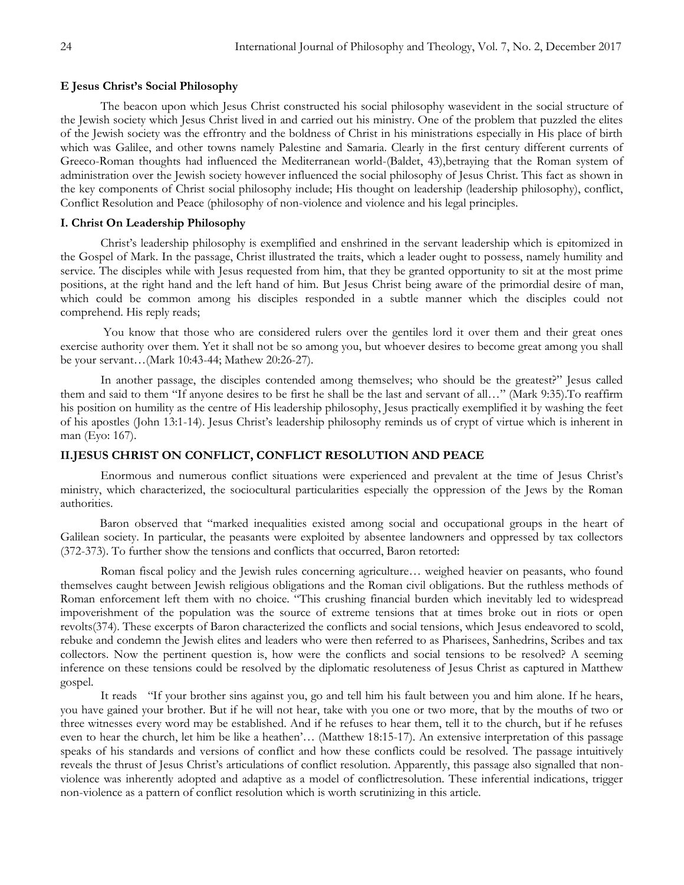### **E Jesus Christ's Social Philosophy**

The beacon upon which Jesus Christ constructed his social philosophy wasevident in the social structure of the Jewish society which Jesus Christ lived in and carried out his ministry. One of the problem that puzzled the elites of the Jewish society was the effrontry and the boldness of Christ in his ministrations especially in His place of birth which was Galilee, and other towns namely Palestine and Samaria. Clearly in the first century different currents of Greeco-Roman thoughts had influenced the Mediterranean world-(Baldet, 43),betraying that the Roman system of administration over the Jewish society however influenced the social philosophy of Jesus Christ. This fact as shown in the key components of Christ social philosophy include; His thought on leadership (leadership philosophy), conflict, Conflict Resolution and Peace (philosophy of non-violence and violence and his legal principles.

#### **I. Christ On Leadership Philosophy**

Christ"s leadership philosophy is exemplified and enshrined in the servant leadership which is epitomized in the Gospel of Mark. In the passage, Christ illustrated the traits, which a leader ought to possess, namely humility and service. The disciples while with Jesus requested from him, that they be granted opportunity to sit at the most prime positions, at the right hand and the left hand of him. But Jesus Christ being aware of the primordial desire of man, which could be common among his disciples responded in a subtle manner which the disciples could not comprehend. His reply reads;

You know that those who are considered rulers over the gentiles lord it over them and their great ones exercise authority over them. Yet it shall not be so among you, but whoever desires to become great among you shall be your servant…(Mark 10:43-44; Mathew 20:26-27).

In another passage, the disciples contended among themselves; who should be the greatest?" Jesus called them and said to them "If anyone desires to be first he shall be the last and servant of all…" (Mark 9:35).To reaffirm his position on humility as the centre of His leadership philosophy, Jesus practically exemplified it by washing the feet of his apostles (John 13:1-14). Jesus Christ"s leadership philosophy reminds us of crypt of virtue which is inherent in man (Eyo: 167).

### **II.JESUS CHRIST ON CONFLICT, CONFLICT RESOLUTION AND PEACE**

Enormous and numerous conflict situations were experienced and prevalent at the time of Jesus Christ"s ministry, which characterized, the sociocultural particularities especially the oppression of the Jews by the Roman authorities.

Baron observed that "marked inequalities existed among social and occupational groups in the heart of Galilean society. In particular, the peasants were exploited by absentee landowners and oppressed by tax collectors (372-373). To further show the tensions and conflicts that occurred, Baron retorted:

Roman fiscal policy and the Jewish rules concerning agriculture… weighed heavier on peasants, who found themselves caught between Jewish religious obligations and the Roman civil obligations. But the ruthless methods of Roman enforcement left them with no choice. "This crushing financial burden which inevitably led to widespread impoverishment of the population was the source of extreme tensions that at times broke out in riots or open revolts(374). These excerpts of Baron characterized the conflicts and social tensions, which Jesus endeavored to scold, rebuke and condemn the Jewish elites and leaders who were then referred to as Pharisees, Sanhedrins, Scribes and tax collectors. Now the pertinent question is, how were the conflicts and social tensions to be resolved? A seeming inference on these tensions could be resolved by the diplomatic resoluteness of Jesus Christ as captured in Matthew gospel.

It reads "If your brother sins against you, go and tell him his fault between you and him alone. If he hears, you have gained your brother. But if he will not hear, take with you one or two more, that by the mouths of two or three witnesses every word may be established. And if he refuses to hear them, tell it to the church, but if he refuses even to hear the church, let him be like a heathen"… (Matthew 18:15-17). An extensive interpretation of this passage speaks of his standards and versions of conflict and how these conflicts could be resolved. The passage intuitively reveals the thrust of Jesus Christ"s articulations of conflict resolution. Apparently, this passage also signalled that nonviolence was inherently adopted and adaptive as a model of conflictresolution. These inferential indications, trigger non-violence as a pattern of conflict resolution which is worth scrutinizing in this article.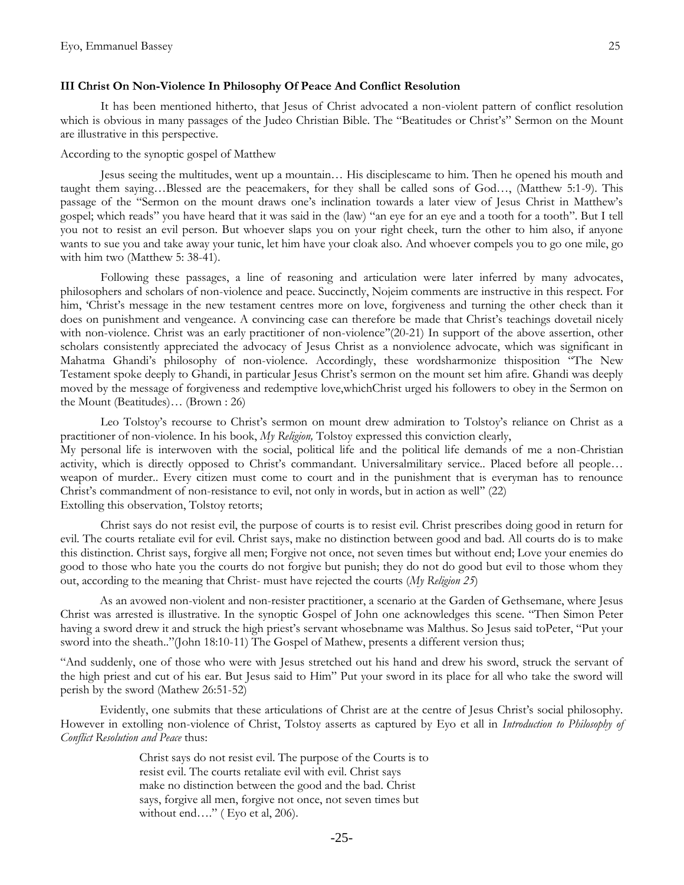## **III Christ On Non-Violence In Philosophy Of Peace And Conflict Resolution**

It has been mentioned hitherto, that Jesus of Christ advocated a non-violent pattern of conflict resolution which is obvious in many passages of the Judeo Christian Bible. The "Beatitudes or Christ's" Sermon on the Mount are illustrative in this perspective.

### According to the synoptic gospel of Matthew

Jesus seeing the multitudes, went up a mountain… His disciplescame to him. Then he opened his mouth and taught them saying…Blessed are the peacemakers, for they shall be called sons of God…, (Matthew 5:1-9). This passage of the "Sermon on the mount draws one's inclination towards a later view of Jesus Christ in Matthew's gospel; which reads" you have heard that it was said in the (law) "an eye for an eye and a tooth for a tooth". But I tell you not to resist an evil person. But whoever slaps you on your right cheek, turn the other to him also, if anyone wants to sue you and take away your tunic, let him have your cloak also. And whoever compels you to go one mile, go with him two (Matthew 5: 38-41).

Following these passages, a line of reasoning and articulation were later inferred by many advocates, philosophers and scholars of non-violence and peace. Succinctly, Nojeim comments are instructive in this respect. For him, 'Christ's message in the new testament centres more on love, forgiveness and turning the other check than it does on punishment and vengeance. A convincing case can therefore be made that Christ's teachings dovetail nicely with non-violence. Christ was an early practitioner of non-violence"(20-21) In support of the above assertion, other scholars consistently appreciated the advocacy of Jesus Christ as a nonviolence advocate, which was significant in Mahatma Ghandi"s philosophy of non-violence. Accordingly, these wordsharmonize thisposition "The New Testament spoke deeply to Ghandi, in particular Jesus Christ"s sermon on the mount set him afire. Ghandi was deeply moved by the message of forgiveness and redemptive love,whichChrist urged his followers to obey in the Sermon on the Mount (Beatitudes)… (Brown : 26)

Leo Tolstoy's recourse to Christ's sermon on mount drew admiration to Tolstoy's reliance on Christ as a practitioner of non-violence. In his book, *My Religion,* Tolstoy expressed this conviction clearly, My personal life is interwoven with the social, political life and the political life demands of me a non-Christian activity, which is directly opposed to Christ's commandant. Universalmilitary service.. Placed before all people... weapon of murder.. Every citizen must come to court and in the punishment that is everyman has to renounce Christ"s commandment of non-resistance to evil, not only in words, but in action as well"" (22) Extolling this observation, Tolstoy retorts;

Christ says do not resist evil, the purpose of courts is to resist evil. Christ prescribes doing good in return for evil. The courts retaliate evil for evil. Christ says, make no distinction between good and bad. All courts do is to make this distinction. Christ says, forgive all men; Forgive not once, not seven times but without end; Love your enemies do good to those who hate you the courts do not forgive but punish; they do not do good but evil to those whom they out, according to the meaning that Christ- must have rejected the courts (*My Religion 25*)

As an avowed non-violent and non-resister practitioner, a scenario at the Garden of Gethsemane, where Jesus Christ was arrested is illustrative. In the synoptic Gospel of John one acknowledges this scene. "Then Simon Peter having a sword drew it and struck the high priest's servant whosebname was Malthus. So Jesus said toPeter, "Put your sword into the sheath.."(John 18:10-11) The Gospel of Mathew, presents a different version thus;

"And suddenly, one of those who were with Jesus stretched out his hand and drew his sword, struck the servant of the high priest and cut of his ear. But Jesus said to Him" Put your sword in its place for all who take the sword will perish by the sword (Mathew 26:51-52)

Evidently, one submits that these articulations of Christ are at the centre of Jesus Christ"s social philosophy. However in extolling non-violence of Christ, Tolstoy asserts as captured by Eyo et all in *Introduction to Philosophy of Conflict Resolution and Peace* thus:

> Christ says do not resist evil. The purpose of the Courts is to resist evil. The courts retaliate evil with evil. Christ says make no distinction between the good and the bad. Christ says, forgive all men, forgive not once, not seven times but without end...." (Eyo et al, 206).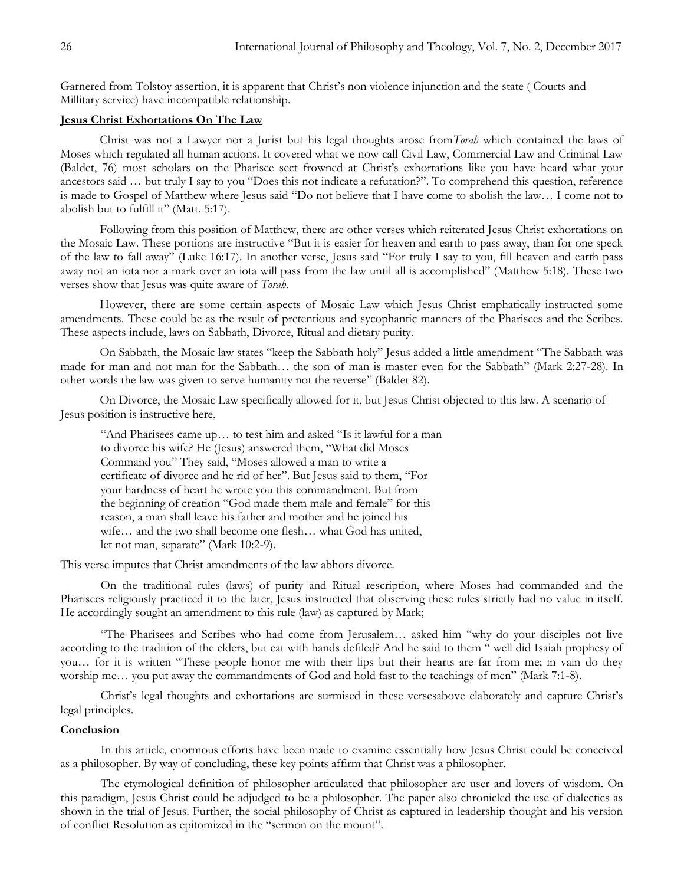Garnered from Tolstoy assertion, it is apparent that Christ"s non violence injunction and the state ( Courts and Millitary service) have incompatible relationship.

## **Jesus Christ Exhortations On The Law**

Christ was not a Lawyer nor a Jurist but his legal thoughts arose from*Torah* which contained the laws of Moses which regulated all human actions. It covered what we now call Civil Law, Commercial Law and Criminal Law (Baldet, 76) most scholars on the Pharisee sect frowned at Christ"s exhortations like you have heard what your ancestors said … but truly I say to you "Does this not indicate a refutation?". To comprehend this question, reference is made to Gospel of Matthew where Jesus said "Do not believe that I have come to abolish the law… I come not to abolish but to fulfill it" (Matt. 5:17).

Following from this position of Matthew, there are other verses which reiterated Jesus Christ exhortations on the Mosaic Law. These portions are instructive "But it is easier for heaven and earth to pass away, than for one speck of the law to fall away" (Luke 16:17). In another verse, Jesus said "For truly I say to you, fill heaven and earth pass away not an iota nor a mark over an iota will pass from the law until all is accomplished" (Matthew 5:18). These two verses show that Jesus was quite aware of *Torah.*

However, there are some certain aspects of Mosaic Law which Jesus Christ emphatically instructed some amendments. These could be as the result of pretentious and sycophantic manners of the Pharisees and the Scribes. These aspects include, laws on Sabbath, Divorce, Ritual and dietary purity.

On Sabbath, the Mosaic law states "keep the Sabbath holy" Jesus added a little amendment "The Sabbath was made for man and not man for the Sabbath… the son of man is master even for the Sabbath" (Mark 2:27-28). In other words the law was given to serve humanity not the reverse" (Baldet 82).

On Divorce, the Mosaic Law specifically allowed for it, but Jesus Christ objected to this law. A scenario of Jesus position is instructive here,

"And Pharisees came up… to test him and asked "Is it lawful for a man to divorce his wife? He (Jesus) answered them, "What did Moses Command you" They said, "Moses allowed a man to write a certificate of divorce and he rid of her". But Jesus said to them, "For your hardness of heart he wrote you this commandment. But from the beginning of creation "God made them male and female" for this reason, a man shall leave his father and mother and he joined his wife… and the two shall become one flesh… what God has united, let not man, separate" (Mark 10:2-9).

This verse imputes that Christ amendments of the law abhors divorce.

On the traditional rules (laws) of purity and Ritual rescription, where Moses had commanded and the Pharisees religiously practiced it to the later, Jesus instructed that observing these rules strictly had no value in itself. He accordingly sought an amendment to this rule (law) as captured by Mark;

"The Pharisees and Scribes who had come from Jerusalem… asked him "why do your disciples not live according to the tradition of the elders, but eat with hands defiled? And he said to them " well did Isaiah prophesy of you… for it is written "These people honor me with their lips but their hearts are far from me; in vain do they worship me… you put away the commandments of God and hold fast to the teachings of men" (Mark 7:1-8).

Christ"s legal thoughts and exhortations are surmised in these versesabove elaborately and capture Christ"s legal principles.

### **Conclusion**

In this article, enormous efforts have been made to examine essentially how Jesus Christ could be conceived as a philosopher. By way of concluding, these key points affirm that Christ was a philosopher.

The etymological definition of philosopher articulated that philosopher are user and lovers of wisdom. On this paradigm, Jesus Christ could be adjudged to be a philosopher. The paper also chronicled the use of dialectics as shown in the trial of Jesus. Further, the social philosophy of Christ as captured in leadership thought and his version of conflict Resolution as epitomized in the "sermon on the mount".